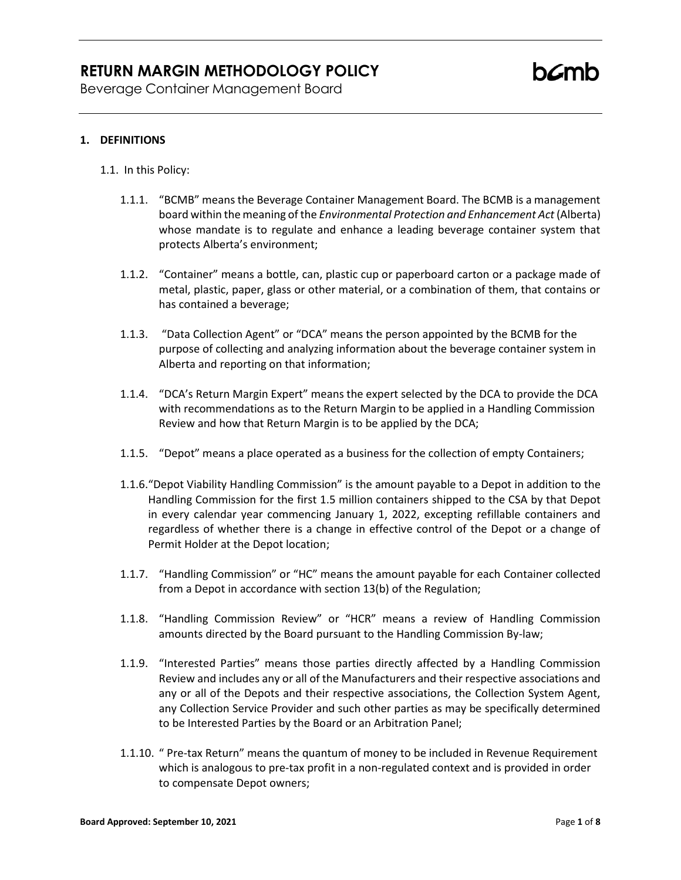Beverage Container Management Board

#### **1. DEFINITIONS**

- 1.1. In this Policy:
	- 1.1.1. "BCMB" means the Beverage Container Management Board. The BCMB is a management board within the meaning of the *Environmental Protection and Enhancement Act* (Alberta) whose mandate is to regulate and enhance a leading beverage container system that protects Alberta's environment;
	- 1.1.2. "Container" means a bottle, can, plastic cup or paperboard carton or a package made of metal, plastic, paper, glass or other material, or a combination of them, that contains or has contained a beverage;
	- 1.1.3. "Data Collection Agent" or "DCA" means the person appointed by the BCMB for the purpose of collecting and analyzing information about the beverage container system in Alberta and reporting on that information;
	- 1.1.4. "DCA's Return Margin Expert" means the expert selected by the DCA to provide the DCA with recommendations as to the Return Margin to be applied in a Handling Commission Review and how that Return Margin is to be applied by the DCA;
	- 1.1.5. "Depot" means a place operated as a business for the collection of empty Containers;
	- 1.1.6."Depot Viability Handling Commission" is the amount payable to a Depot in addition to the Handling Commission for the first 1.5 million containers shipped to the CSA by that Depot in every calendar year commencing January 1, 2022, excepting refillable containers and regardless of whether there is a change in effective control of the Depot or a change of Permit Holder at the Depot location;
	- 1.1.7. "Handling Commission" or "HC" means the amount payable for each Container collected from a Depot in accordance with section 13(b) of the Regulation;
	- 1.1.8. "Handling Commission Review" or "HCR" means a review of Handling Commission amounts directed by the Board pursuant to the Handling Commission By-law;
	- 1.1.9. "Interested Parties" means those parties directly affected by a Handling Commission Review and includes any or all of the Manufacturers and their respective associations and any or all of the Depots and their respective associations, the Collection System Agent, any Collection Service Provider and such other parties as may be specifically determined to be Interested Parties by the Board or an Arbitration Panel;
	- 1.1.10. " Pre-tax Return" means the quantum of money to be included in Revenue Requirement which is analogous to pre-tax profit in a non-regulated context and is provided in order to compensate Depot owners;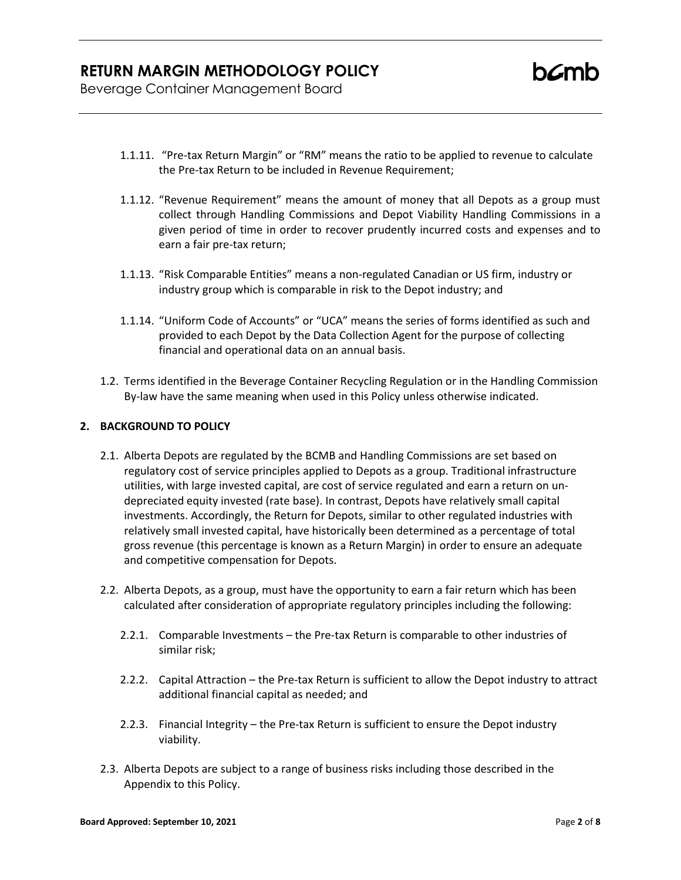Beverage Container Management Board

- 1.1.11. "Pre-tax Return Margin" or "RM" means the ratio to be applied to revenue to calculate the Pre-tax Return to be included in Revenue Requirement;
- 1.1.12. "Revenue Requirement" means the amount of money that all Depots as a group must collect through Handling Commissions and Depot Viability Handling Commissions in a given period of time in order to recover prudently incurred costs and expenses and to earn a fair pre-tax return;
- 1.1.13. "Risk Comparable Entities" means a non-regulated Canadian or US firm, industry or industry group which is comparable in risk to the Depot industry; and
- 1.1.14. "Uniform Code of Accounts" or "UCA" means the series of forms identified as such and provided to each Depot by the Data Collection Agent for the purpose of collecting financial and operational data on an annual basis.
- 1.2. Terms identified in the Beverage Container Recycling Regulation or in the Handling Commission By-law have the same meaning when used in this Policy unless otherwise indicated.

#### **2. BACKGROUND TO POLICY**

- 2.1. Alberta Depots are regulated by the BCMB and Handling Commissions are set based on regulatory cost of service principles applied to Depots as a group. Traditional infrastructure utilities, with large invested capital, are cost of service regulated and earn a return on undepreciated equity invested (rate base). In contrast, Depots have relatively small capital investments. Accordingly, the Return for Depots, similar to other regulated industries with relatively small invested capital, have historically been determined as a percentage of total gross revenue (this percentage is known as a Return Margin) in order to ensure an adequate and competitive compensation for Depots.
- 2.2. Alberta Depots, as a group, must have the opportunity to earn a fair return which has been calculated after consideration of appropriate regulatory principles including the following:
	- 2.2.1. Comparable Investments the Pre-tax Return is comparable to other industries of similar risk;
	- 2.2.2. Capital Attraction the Pre-tax Return is sufficient to allow the Depot industry to attract additional financial capital as needed; and
	- 2.2.3. Financial Integrity the Pre-tax Return is sufficient to ensure the Depot industry viability.
- 2.3. Alberta Depots are subject to a range of business risks including those described in the Appendix to this Policy.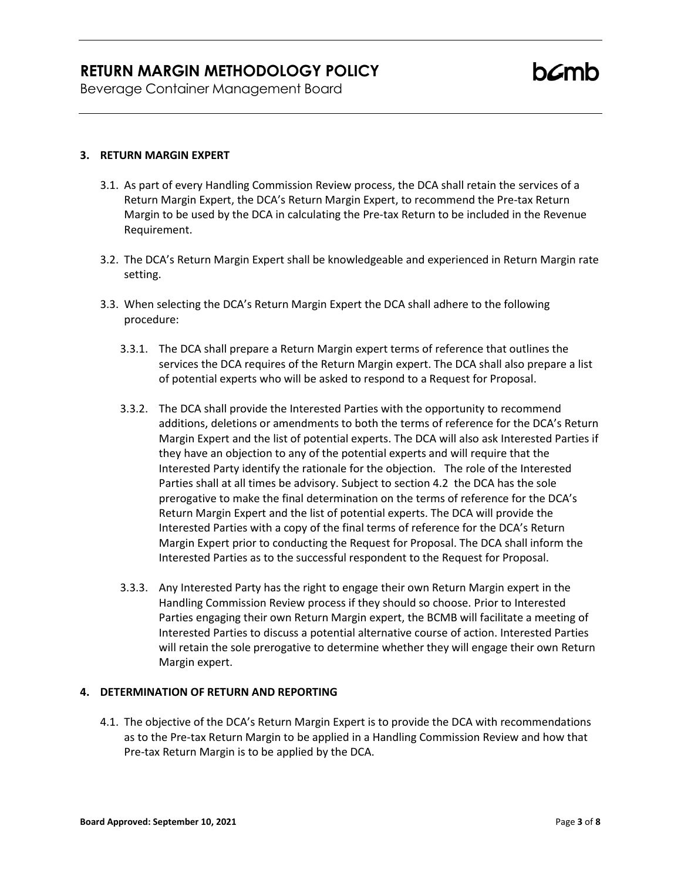Beverage Container Management Board

#### **3. RETURN MARGIN EXPERT**

- 3.1. As part of every Handling Commission Review process, the DCA shall retain the services of a Return Margin Expert, the DCA's Return Margin Expert, to recommend the Pre-tax Return Margin to be used by the DCA in calculating the Pre-tax Return to be included in the Revenue Requirement.
- 3.2. The DCA's Return Margin Expert shall be knowledgeable and experienced in Return Margin rate setting.
- 3.3. When selecting the DCA's Return Margin Expert the DCA shall adhere to the following procedure:
	- 3.3.1. The DCA shall prepare a Return Margin expert terms of reference that outlines the services the DCA requires of the Return Margin expert. The DCA shall also prepare a list of potential experts who will be asked to respond to a Request for Proposal.
	- 3.3.2. The DCA shall provide the Interested Parties with the opportunity to recommend additions, deletions or amendments to both the terms of reference for the DCA's Return Margin Expert and the list of potential experts. The DCA will also ask Interested Parties if they have an objection to any of the potential experts and will require that the Interested Party identify the rationale for the objection. The role of the Interested Parties shall at all times be advisory. Subject to section 4.2 the DCA has the sole prerogative to make the final determination on the terms of reference for the DCA's Return Margin Expert and the list of potential experts. The DCA will provide the Interested Parties with a copy of the final terms of reference for the DCA's Return Margin Expert prior to conducting the Request for Proposal. The DCA shall inform the Interested Parties as to the successful respondent to the Request for Proposal.
	- 3.3.3. Any Interested Party has the right to engage their own Return Margin expert in the Handling Commission Review process if they should so choose. Prior to Interested Parties engaging their own Return Margin expert, the BCMB will facilitate a meeting of Interested Parties to discuss a potential alternative course of action. Interested Parties will retain the sole prerogative to determine whether they will engage their own Return Margin expert.

#### **4. DETERMINATION OF RETURN AND REPORTING**

4.1. The objective of the DCA's Return Margin Expert is to provide the DCA with recommendations as to the Pre-tax Return Margin to be applied in a Handling Commission Review and how that Pre-tax Return Margin is to be applied by the DCA.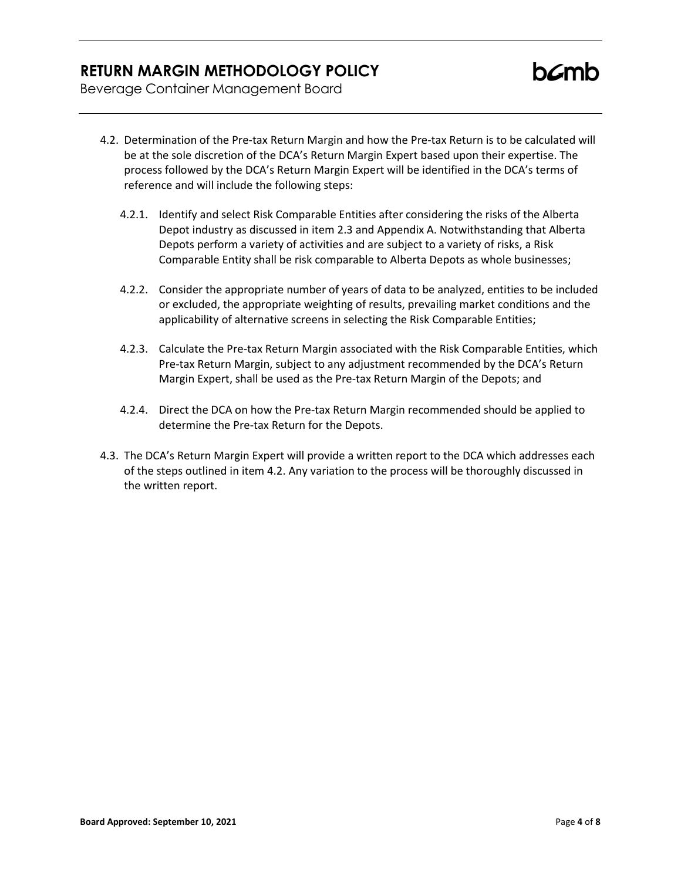Beverage Container Management Board

- 4.2. Determination of the Pre-tax Return Margin and how the Pre-tax Return is to be calculated will be at the sole discretion of the DCA's Return Margin Expert based upon their expertise. The process followed by the DCA's Return Margin Expert will be identified in the DCA's terms of reference and will include the following steps:
	- 4.2.1. Identify and select Risk Comparable Entities after considering the risks of the Alberta Depot industry as discussed in item 2.3 and Appendix A. Notwithstanding that Alberta Depots perform a variety of activities and are subject to a variety of risks, a Risk Comparable Entity shall be risk comparable to Alberta Depots as whole businesses;
	- 4.2.2. Consider the appropriate number of years of data to be analyzed, entities to be included or excluded, the appropriate weighting of results, prevailing market conditions and the applicability of alternative screens in selecting the Risk Comparable Entities;
	- 4.2.3. Calculate the Pre-tax Return Margin associated with the Risk Comparable Entities, which Pre-tax Return Margin, subject to any adjustment recommended by the DCA's Return Margin Expert, shall be used as the Pre-tax Return Margin of the Depots; and
	- 4.2.4. Direct the DCA on how the Pre-tax Return Margin recommended should be applied to determine the Pre-tax Return for the Depots.
- 4.3. The DCA's Return Margin Expert will provide a written report to the DCA which addresses each of the steps outlined in item 4.2. Any variation to the process will be thoroughly discussed in the written report.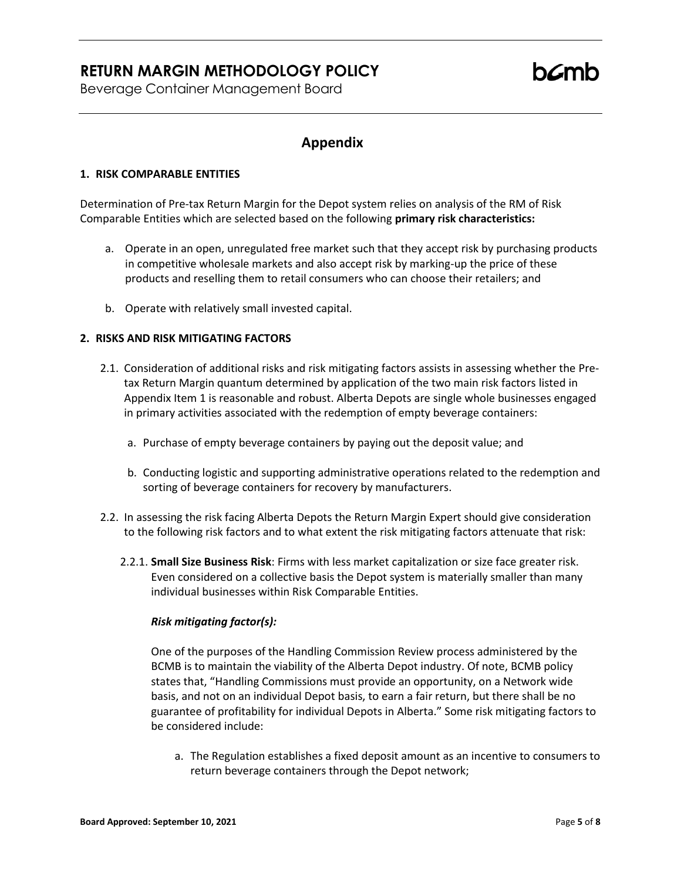Beverage Container Management Board

### **Appendix**

#### **1. RISK COMPARABLE ENTITIES**

Determination of Pre-tax Return Margin for the Depot system relies on analysis of the RM of Risk Comparable Entities which are selected based on the following **primary risk characteristics:**

- a. Operate in an open, unregulated free market such that they accept risk by purchasing products in competitive wholesale markets and also accept risk by marking-up the price of these products and reselling them to retail consumers who can choose their retailers; and
- b. Operate with relatively small invested capital.

#### **2. RISKS AND RISK MITIGATING FACTORS**

- 2.1. Consideration of additional risks and risk mitigating factors assists in assessing whether the Pretax Return Margin quantum determined by application of the two main risk factors listed in Appendix Item 1 is reasonable and robust. Alberta Depots are single whole businesses engaged in primary activities associated with the redemption of empty beverage containers:
	- a. Purchase of empty beverage containers by paying out the deposit value; and
	- b. Conducting logistic and supporting administrative operations related to the redemption and sorting of beverage containers for recovery by manufacturers.
- 2.2. In assessing the risk facing Alberta Depots the Return Margin Expert should give consideration to the following risk factors and to what extent the risk mitigating factors attenuate that risk:
	- 2.2.1. **Small Size Business Risk**: Firms with less market capitalization or size face greater risk. Even considered on a collective basis the Depot system is materially smaller than many individual businesses within Risk Comparable Entities.

#### *Risk mitigating factor(s):*

One of the purposes of the Handling Commission Review process administered by the BCMB is to maintain the viability of the Alberta Depot industry. Of note, BCMB policy states that, "Handling Commissions must provide an opportunity, on a Network wide basis, and not on an individual Depot basis, to earn a fair return, but there shall be no guarantee of profitability for individual Depots in Alberta." Some risk mitigating factors to be considered include:

a. The Regulation establishes a fixed deposit amount as an incentive to consumers to return beverage containers through the Depot network;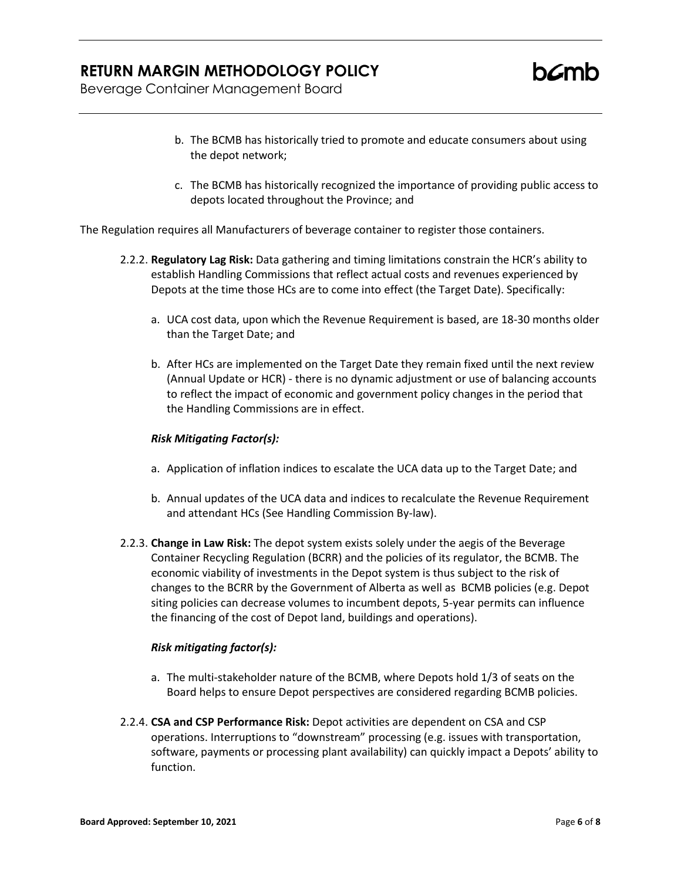**h***C*mh

Beverage Container Management Board

- b. The BCMB has historically tried to promote and educate consumers about using the depot network;
- c. The BCMB has historically recognized the importance of providing public access to depots located throughout the Province; and

The Regulation requires all Manufacturers of beverage container to register those containers.

- 2.2.2. **Regulatory Lag Risk:** Data gathering and timing limitations constrain the HCR's ability to establish Handling Commissions that reflect actual costs and revenues experienced by Depots at the time those HCs are to come into effect (the Target Date). Specifically:
	- a. UCA cost data, upon which the Revenue Requirement is based, are 18-30 months older than the Target Date; and
	- b. After HCs are implemented on the Target Date they remain fixed until the next review (Annual Update or HCR) - there is no dynamic adjustment or use of balancing accounts to reflect the impact of economic and government policy changes in the period that the Handling Commissions are in effect.

#### *Risk Mitigating Factor(s):*

- a. Application of inflation indices to escalate the UCA data up to the Target Date; and
- b. Annual updates of the UCA data and indices to recalculate the Revenue Requirement and attendant HCs (See Handling Commission By-law).
- 2.2.3. **Change in Law Risk:** The depot system exists solely under the aegis of the Beverage Container Recycling Regulation (BCRR) and the policies of its regulator, the BCMB. The economic viability of investments in the Depot system is thus subject to the risk of changes to the BCRR by the Government of Alberta as well as BCMB policies (e.g. Depot siting policies can decrease volumes to incumbent depots, 5-year permits can influence the financing of the cost of Depot land, buildings and operations).

#### *Risk mitigating factor(s):*

- a. The multi-stakeholder nature of the BCMB, where Depots hold 1/3 of seats on the Board helps to ensure Depot perspectives are considered regarding BCMB policies.
- 2.2.4. **CSA and CSP Performance Risk:** Depot activities are dependent on CSA and CSP operations. Interruptions to "downstream" processing (e.g. issues with transportation, software, payments or processing plant availability) can quickly impact a Depots' ability to function.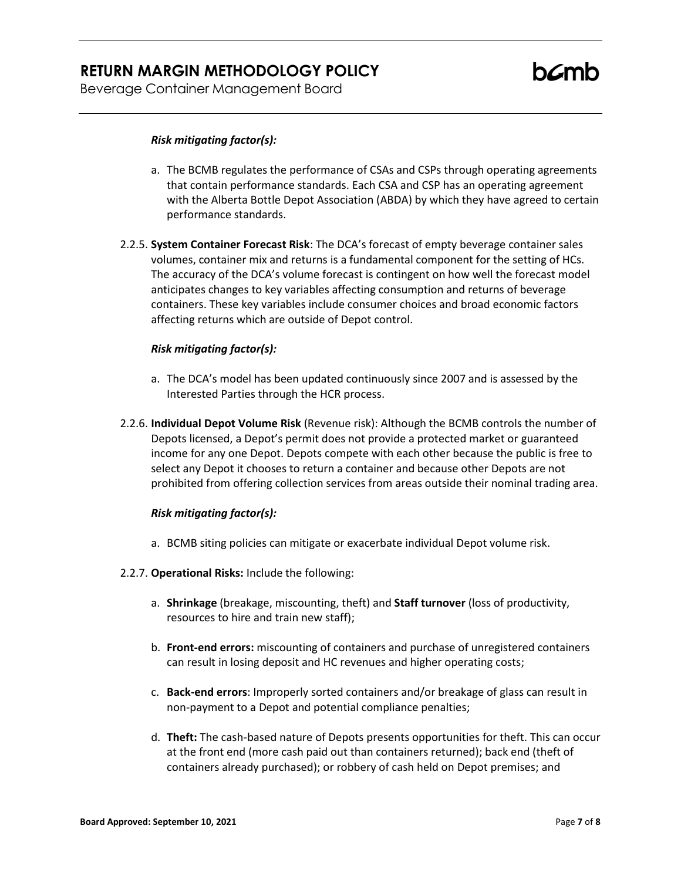Beverage Container Management Board

#### *Risk mitigating factor(s):*

- a. The BCMB regulates the performance of CSAs and CSPs through operating agreements that contain performance standards. Each CSA and CSP has an operating agreement with the Alberta Bottle Depot Association (ABDA) by which they have agreed to certain performance standards.
- 2.2.5. **System Container Forecast Risk**: The DCA's forecast of empty beverage container sales volumes, container mix and returns is a fundamental component for the setting of HCs. The accuracy of the DCA's volume forecast is contingent on how well the forecast model anticipates changes to key variables affecting consumption and returns of beverage containers. These key variables include consumer choices and broad economic factors affecting returns which are outside of Depot control.

#### *Risk mitigating factor(s):*

- a. The DCA's model has been updated continuously since 2007 and is assessed by the Interested Parties through the HCR process.
- 2.2.6. **Individual Depot Volume Risk** (Revenue risk): Although the BCMB controls the number of Depots licensed, a Depot's permit does not provide a protected market or guaranteed income for any one Depot. Depots compete with each other because the public is free to select any Depot it chooses to return a container and because other Depots are not prohibited from offering collection services from areas outside their nominal trading area.

#### *Risk mitigating factor(s):*

- a. BCMB siting policies can mitigate or exacerbate individual Depot volume risk.
- 2.2.7. **Operational Risks:** Include the following:
	- a. **Shrinkage** (breakage, miscounting, theft) and **Staff turnover** (loss of productivity, resources to hire and train new staff);
	- b. **Front-end errors:** miscounting of containers and purchase of unregistered containers can result in losing deposit and HC revenues and higher operating costs;
	- c. **Back-end errors**: Improperly sorted containers and/or breakage of glass can result in non-payment to a Depot and potential compliance penalties;
	- d. **Theft:** The cash-based nature of Depots presents opportunities for theft. This can occur at the front end (more cash paid out than containers returned); back end (theft of containers already purchased); or robbery of cash held on Depot premises; and